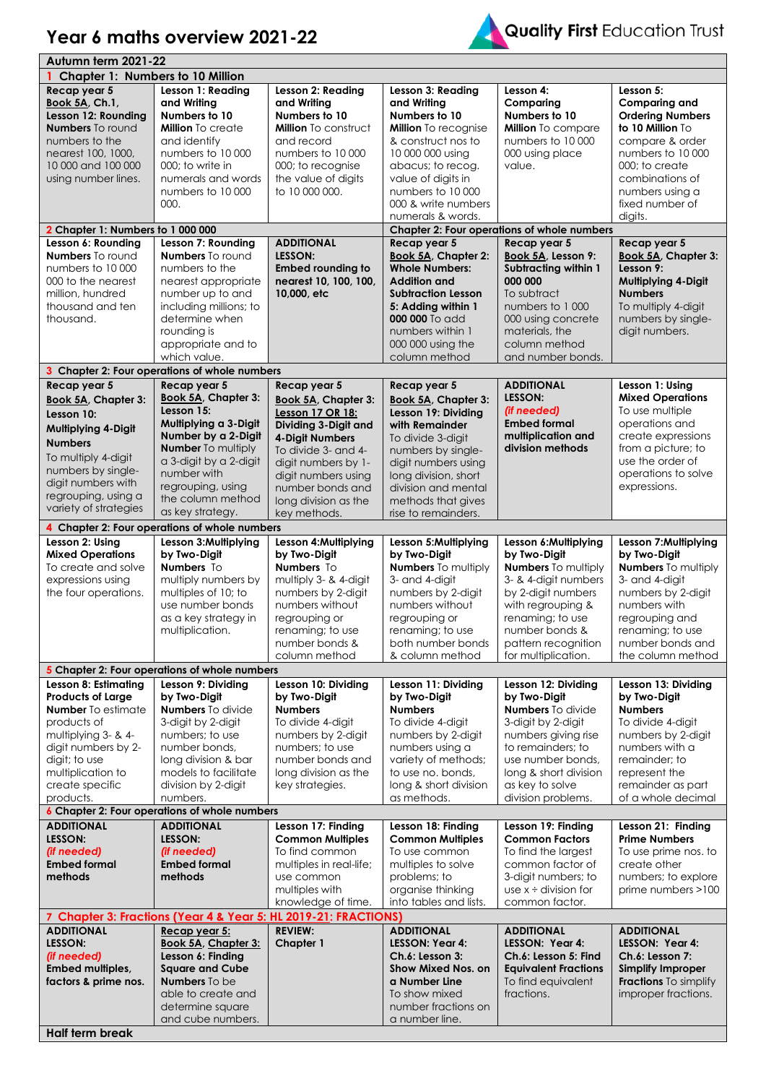## **Year 6 maths overview 2021-22**



| Autumn term 2021-22                     |                                                                 |                                            |                                             |                                             |                                      |  |
|-----------------------------------------|-----------------------------------------------------------------|--------------------------------------------|---------------------------------------------|---------------------------------------------|--------------------------------------|--|
| <b>Chapter 1: Numbers to 10 Million</b> |                                                                 |                                            |                                             |                                             |                                      |  |
| Recap year 5                            | Lesson 1: Reading                                               | Lesson 2: Reading                          | Lesson 3: Reading                           | Lesson 4:                                   | Lesson 5:                            |  |
| Book 5A, Ch.1,                          | and Writing                                                     | and Writing                                | and Writina                                 | Comparing                                   | <b>Comparing and</b>                 |  |
| Lesson 12: Rounding                     | Numbers to 10                                                   | Numbers to 10                              | Numbers to 10                               | Numbers to 10                               | <b>Ordering Numbers</b>              |  |
| <b>Numbers</b> To round                 | <b>Million</b> To create                                        | <b>Million</b> To construct                | <b>Million</b> To recognise                 | Million To compare                          | to 10 Million To                     |  |
| numbers to the                          | and identify                                                    | and record                                 | & construct nos to                          | numbers to 10 000                           | compare & order                      |  |
| nearest 100, 1000,                      | numbers to 10 000                                               | numbers to 10 000                          | 10 000 000 using                            | 000 using place                             | numbers to 10 000                    |  |
| 10 000 and 100 000                      | 000; to write in                                                | 000; to recognise                          | abacus; to recog.                           | value.                                      | 000; to create                       |  |
| using number lines.                     | numerals and words                                              | the value of digits                        | value of digits in                          |                                             | combinations of                      |  |
|                                         | numbers to 10 000                                               | to 10 000 000.                             | numbers to 10 000                           |                                             | numbers using a                      |  |
|                                         | 000.                                                            |                                            | 000 & write numbers                         |                                             | fixed number of                      |  |
|                                         |                                                                 |                                            | numerals & words.                           |                                             | digits.                              |  |
| 2 Chapter 1: Numbers to 1 000 000       |                                                                 |                                            |                                             | Chapter 2: Four operations of whole numbers |                                      |  |
| Lesson 6: Rounding                      | Lesson 7: Rounding                                              | <b>ADDITIONAL</b>                          | Recap year 5                                | Recap year 5                                | Recap year 5                         |  |
| <b>Numbers</b> To round                 | <b>Numbers</b> To round                                         | LESSON:                                    | <b>Book 5A, Chapter 2:</b>                  | Book 5A, Lesson 9:                          | Book 5A, Chapter 3:                  |  |
| numbers to 10000                        | numbers to the                                                  | <b>Embed rounding to</b>                   | <b>Whole Numbers:</b>                       | <b>Subtracting within 1</b>                 | Lesson 9:                            |  |
| 000 to the nearest                      | nearest appropriate                                             | nearest 10, 100, 100,                      | <b>Addition and</b>                         | 000 000                                     | Multiplying 4-Digit                  |  |
| million, hundred                        | number up to and                                                | 10,000, etc                                | <b>Subtraction Lesson</b>                   | To subtract                                 | <b>Numbers</b>                       |  |
| thousand and ten                        | including millions; to                                          |                                            | 5: Adding within 1                          | numbers to 1 000                            | To multiply 4-digit                  |  |
| thousand.                               | determine when                                                  |                                            | 000 000 To add                              | 000 using concrete                          | numbers by single-                   |  |
|                                         | rounding is                                                     |                                            | numbers within 1                            | materials, the                              | digit numbers.                       |  |
|                                         | appropriate and to                                              |                                            | 000 000 using the                           | column method                               |                                      |  |
|                                         | which value.                                                    |                                            |                                             | and number bonds.                           |                                      |  |
|                                         |                                                                 |                                            | column method                               |                                             |                                      |  |
|                                         | 3 Chapter 2: Four operations of whole numbers                   |                                            |                                             |                                             |                                      |  |
| Recap year 5                            | Recap year 5                                                    | Recap year 5                               | Recap year 5                                | <b>ADDITIONAL</b><br><b>LESSON:</b>         | Lesson 1: Using                      |  |
| Book 5A, Chapter 3:                     | Book 5A, Chapter 3:<br>Lesson 15:                               | Book 5A, Chapter 3:                        | <b>Book 5A, Chapter 3:</b>                  |                                             | <b>Mixed Operations</b>              |  |
| Lesson 10:                              | Multiplying a 3-Digit                                           | Lesson 17 OR 18:                           | Lesson 19: Dividing                         | (if needed)<br><b>Embed formal</b>          | To use multiple<br>operations and    |  |
| Multiplying 4-Digit                     | Number by a 2-Digit                                             | Dividing 3-Digit and                       | with Remainder                              | multiplication and                          | create expressions                   |  |
| <b>Numbers</b>                          | <b>Number</b> To multiply                                       | 4-Digit Numbers<br>To divide 3- and 4-     | To divide 3-digit                           | division methods                            | from a picture; to                   |  |
| To multiply 4-digit                     | a 3-digit by a 2-digit                                          |                                            | numbers by single-                          |                                             | use the order of                     |  |
| numbers by single-                      | number with                                                     | digit numbers by 1-<br>digit numbers using | digit numbers using<br>long division, short |                                             | operations to solve                  |  |
| digit numbers with                      | regrouping, using                                               | number bonds and                           | division and mental                         |                                             | expressions.                         |  |
| regrouping, using a                     | the column method                                               | long division as the                       | methods that gives                          |                                             |                                      |  |
| variety of strategies                   | as key strategy.                                                | key methods.                               | rise to remainders.                         |                                             |                                      |  |
|                                         | 4 Chapter 2: Four operations of whole numbers                   |                                            |                                             |                                             |                                      |  |
| Lesson 2: Using                         | Lesson 3: Multiplying                                           | Lesson 4: Multiplying                      | Lesson 5: Multiplying                       | Lesson 6: Multiplying                       | Lesson 7: Multiplying                |  |
| <b>Mixed Operations</b>                 | by Two-Digit                                                    | by Two-Digit                               | by Two-Digit                                | by Two-Digit                                | by Two-Digit                         |  |
| To create and solve                     | Numbers To                                                      | Numbers To                                 | <b>Numbers</b> To multiply                  | <b>Numbers</b> To multiply                  | <b>Numbers</b> To multiply           |  |
| expressions using                       | multiply numbers by                                             | multiply 3- & 4-digit                      | 3- and 4-digit                              | 3- & 4-digit numbers                        | 3- and 4-digit                       |  |
| the four operations.                    | multiples of 10; to                                             | numbers by 2-digit                         | numbers by 2-digit                          | by 2-digit numbers                          | numbers by 2-digit                   |  |
|                                         | use number bonds                                                | numbers without                            | numbers without                             | with regrouping &                           | numbers with                         |  |
|                                         | as a key strategy in                                            | regrouping or                              | regrouping or                               | renaming; to use                            | regrouping and                       |  |
|                                         | multiplication.                                                 | renaming; to use                           | renaming; to use                            | number bonds &                              | renaming; to use                     |  |
|                                         |                                                                 | number bonds &                             | both number bonds                           | pattern recognition                         | number bonds and                     |  |
|                                         |                                                                 | column method                              | & column method                             | for multiplication.                         | the column method                    |  |
|                                         | 5 Chapter 2: Four operations of whole numbers                   |                                            |                                             |                                             |                                      |  |
| Lesson 8: Estimating                    | Lesson 9: Dividing                                              | Lesson 10: Dividing                        | Lesson 11: Dividing                         | Lesson 12: Dividing                         | Lesson 13: Dividing                  |  |
| <b>Products of Large</b>                | by Two-Digit                                                    | by Two-Digit                               | by Two-Digit                                | by Two-Digit                                | by Two-Digit                         |  |
| <b>Number</b> To estimate               | <b>Numbers</b> To divide                                        | <b>Numbers</b>                             | <b>Numbers</b>                              | <b>Numbers</b> To divide                    | <b>Numbers</b>                       |  |
| products of                             | 3-digit by 2-digit                                              | To divide 4-digit                          | To divide 4-digit                           | 3-digit by 2-digit                          | To divide 4-digit                    |  |
| multiplying 3- & 4-                     | numbers; to use                                                 | numbers by 2-digit                         | numbers by 2-digit                          | numbers giving rise                         | numbers by 2-digit                   |  |
| digit numbers by 2-                     | number bonds,                                                   | numbers: to use                            | numbers using a                             | to remainders: to                           | numbers with a                       |  |
| digit; to use                           | long division & bar                                             | number bonds and                           | variety of methods;                         | use number bonds.                           | remainder; to                        |  |
| multiplication to                       | models to facilitate                                            | long division as the                       | to use no. bonds,                           | long & short division                       | represent the                        |  |
| create specific                         | division by 2-digit                                             | key strategies.                            | long & short division                       | as key to solve                             | remainder as part                    |  |
| products.                               | numbers.                                                        |                                            | as methods.                                 | division problems.                          | of a whole decimal                   |  |
|                                         | 6 Chapter 2: Four operations of whole numbers                   |                                            |                                             |                                             |                                      |  |
| <b>ADDITIONAL</b>                       | <b>ADDITIONAL</b>                                               | Lesson 17: Finding                         | Lesson 18: Finding                          | Lesson 19: Finding                          | Lesson 21: Finding                   |  |
| LESSON:                                 | LESSON:                                                         | <b>Common Multiples</b>                    | <b>Common Multiples</b>                     | <b>Common Factors</b>                       | <b>Prime Numbers</b>                 |  |
| (if needed)<br><b>Embed formal</b>      | (if needed)<br><b>Embed formal</b>                              | To find common<br>multiples in real-life;  | To use common<br>multiples to solve         | To find the largest<br>common factor of     | To use prime nos. to<br>create other |  |
| methods                                 | methods                                                         | use common                                 | problems; to                                | 3-digit numbers; to                         | numbers; to explore                  |  |
|                                         |                                                                 | multiples with                             | organise thinking                           | use $x \div$ division for                   | prime numbers >100                   |  |
|                                         |                                                                 | knowledge of time.                         | into tables and lists.                      | common factor.                              |                                      |  |
|                                         | 7 Chapter 3: Fractions (Year 4 & Year 5: HL 2019-21: FRACTIONS) |                                            |                                             |                                             |                                      |  |
| <b>ADDITIONAL</b>                       | Recap year 5:                                                   | <b>REVIEW:</b>                             | <b>ADDITIONAL</b>                           | <b>ADDITIONAL</b>                           | <b>ADDITIONAL</b>                    |  |
| LESSON:                                 | Book 5A, Chapter 3:                                             | Chapter 1                                  | <b>LESSON: Year 4:</b>                      | LESSON: Year 4:                             | LESSON: Year 4:                      |  |
| (if needed)                             | Lesson 6: Finding                                               |                                            | Ch.6: Lesson 3:                             | Ch.6: Lesson 5: Find                        | Ch.6: Lesson 7:                      |  |
| <b>Embed multiples,</b>                 | <b>Square and Cube</b>                                          |                                            | <b>Show Mixed Nos. on</b>                   | <b>Equivalent Fractions</b>                 | <b>Simplify Improper</b>             |  |
| factors & prime nos.                    | <b>Numbers</b> To be                                            |                                            | a Number Line                               | To find equivalent                          | <b>Fractions</b> To simplify         |  |
|                                         | able to create and                                              |                                            | To show mixed                               | fractions.                                  | improper fractions.                  |  |
|                                         | determine square                                                |                                            | number fractions on                         |                                             |                                      |  |
|                                         | and cube numbers.                                               |                                            | a number line.                              |                                             |                                      |  |
| <b>Half term break</b>                  |                                                                 |                                            |                                             |                                             |                                      |  |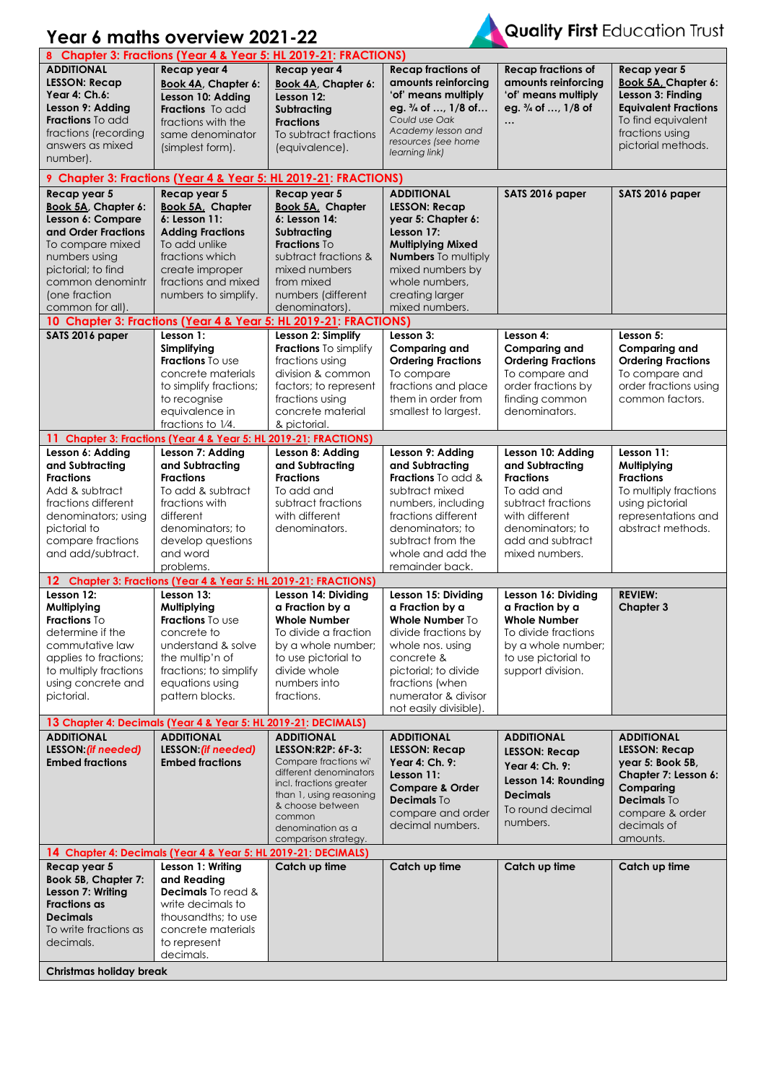|                                                                                                                                                                                      | Year 6 maths overview 2021-22                                                                                                                                                 |                                                                                                                                                                                                                            |                                                                                                                                                                                                                  |                                                                                                                                                                          |                                                                                                                                                                 |
|--------------------------------------------------------------------------------------------------------------------------------------------------------------------------------------|-------------------------------------------------------------------------------------------------------------------------------------------------------------------------------|----------------------------------------------------------------------------------------------------------------------------------------------------------------------------------------------------------------------------|------------------------------------------------------------------------------------------------------------------------------------------------------------------------------------------------------------------|--------------------------------------------------------------------------------------------------------------------------------------------------------------------------|-----------------------------------------------------------------------------------------------------------------------------------------------------------------|
|                                                                                                                                                                                      | 8 Chapter 3: Fractions (Year 4 & Year 5: HL 2019-21: FRACTIONS)                                                                                                               |                                                                                                                                                                                                                            |                                                                                                                                                                                                                  |                                                                                                                                                                          |                                                                                                                                                                 |
| <b>ADDITIONAL</b><br><b>LESSON: Recap</b><br>Year 4: Ch.6:<br>Lesson 9: Adding<br><b>Fractions</b> To add<br>fractions (recording<br>answers as mixed<br>number).                    | Recap year 4<br>Book 4A, Chapter 6:<br>Lesson 10: Adding<br><b>Fractions</b> To add<br>fractions with the<br>same denominator<br>(simplest form).                             | Recap year 4<br><b>Book 4A, Chapter 6:</b><br>Lesson 12:<br>Subtracting<br><b>Fractions</b><br>To subtract fractions<br>(equivalence).                                                                                     | <b>Recap fractions of</b><br>amounts reinforcing<br>'of' means multiply<br>eg. $\frac{3}{4}$ of , 1/8 of<br>Could use Oak<br>Academy lesson and<br>resources (see home<br>learning link)                         | <b>Recap fractions of</b><br>amounts reinforcing<br>'of' means multiply<br>eg. 3/4 of , 1/8 of<br>$\cdots$                                                               | Recap year 5<br>Book 5A, Chapter 6:<br>Lesson 3: Finding<br><b>Equivalent Fractions</b><br>To find equivalent<br>fractions using<br>pictorial methods.          |
|                                                                                                                                                                                      | 9 Chapter 3: Fractions (Year 4 & Year 5: HL 2019-21: FRACTIONS)                                                                                                               |                                                                                                                                                                                                                            |                                                                                                                                                                                                                  |                                                                                                                                                                          |                                                                                                                                                                 |
| Recap year 5                                                                                                                                                                         | Recap year 5                                                                                                                                                                  | Recap year 5                                                                                                                                                                                                               | <b>ADDITIONAL</b>                                                                                                                                                                                                | SATS 2016 paper                                                                                                                                                          | SATS 2016 paper                                                                                                                                                 |
| Book 5A, Chapter 6:<br>Lesson 6: Compare<br>and Order Fractions<br>To compare mixed<br>numbers using<br>pictorial; to find<br>common denomintr<br>(one fraction)<br>common for all). | <b>Book 5A, Chapter</b><br>6: Lesson 11:<br><b>Adding Fractions</b><br>To add unlike<br>fractions which<br>create improper<br>fractions and mixed<br>numbers to simplify.     | Book 5A, Chapter<br>6: Lesson 14:<br>Subtracting<br>Fractions To<br>subtract fractions &<br>mixed numbers<br>from mixed<br>numbers (different<br>denominators).                                                            | <b>LESSON: Recap</b><br>year 5: Chapter 6:<br>Lesson 17:<br><b>Multiplying Mixed</b><br><b>Numbers</b> To multiply<br>mixed numbers by<br>whole numbers.<br>creating larger<br>mixed numbers.                    |                                                                                                                                                                          |                                                                                                                                                                 |
|                                                                                                                                                                                      | 10 Chapter 3: Fractions (Year 4 & Year 5: HL 2019-21: FRACTIONS)                                                                                                              |                                                                                                                                                                                                                            |                                                                                                                                                                                                                  |                                                                                                                                                                          |                                                                                                                                                                 |
| SATS 2016 paper                                                                                                                                                                      | Lesson 1:<br>Simplifying<br><b>Fractions</b> To use<br>concrete materials<br>to simplify fractions;<br>to recognise<br>equivalence in<br>fractions to 1/4.                    | Lesson 2: Simplify<br>Fractions To simplify<br>fractions using<br>division & common<br>factors; to represent<br>fractions using<br>concrete material<br>& pictorial.                                                       | Lesson 3:<br><b>Comparing and</b><br><b>Ordering Fractions</b><br>To compare<br>fractions and place<br>them in order from<br>smallest to largest.                                                                | Lesson 4:<br><b>Comparing and</b><br><b>Ordering Fractions</b><br>To compare and<br>order fractions by<br>finding common<br>denominators.                                | Lesson 5:<br><b>Comparing and</b><br><b>Ordering Fractions</b><br>To compare and<br>order fractions using<br>common factors.                                    |
|                                                                                                                                                                                      | 11 Chapter 3: Fractions (Year 4 & Year 5: HL 2019-21: FRACTIONS)                                                                                                              |                                                                                                                                                                                                                            |                                                                                                                                                                                                                  |                                                                                                                                                                          |                                                                                                                                                                 |
| Lesson 6: Adding<br>and Subtracting<br><b>Fractions</b><br>Add & subtract<br>fractions different<br>denominators; using<br>pictorial to<br>compare fractions<br>and add/subtract.    | Lesson 7: Adding<br>and Subtracting<br><b>Fractions</b><br>To add & subtract<br>fractions with<br>different<br>denominators: to<br>develop questions<br>and word<br>problems. | Lesson 8: Adding<br>and Subtracting<br><b>Fractions</b><br>To add and<br>subtract fractions<br>with different<br>denominators.                                                                                             | Lesson 9: Adding<br>and Subtracting<br><b>Fractions</b> To add &<br>subtract mixed<br>numbers, including<br>fractions different<br>denominators: to<br>subtract from the<br>whole and add the<br>remainder back. | Lesson 10: Adding<br>and Subtracting<br><b>Fractions</b><br>To add and<br>subtract fractions<br>with different<br>denominators: to<br>add and subtract<br>mixed numbers. | Lesson 11:<br>Multiplying<br><b>Fractions</b><br>To multiply fractions<br>using pictorial<br>representations and<br>abstract methods.                           |
|                                                                                                                                                                                      | 12 Chapter 3: Fractions (Year 4 & Year 5: HL 2019-21: FRACTIONS)                                                                                                              |                                                                                                                                                                                                                            |                                                                                                                                                                                                                  |                                                                                                                                                                          |                                                                                                                                                                 |
| Lesson 12:<br>Multiplying<br>Fractions To<br>determine if the<br>commutative law<br>applies to fractions;<br>to multiply fractions<br>using concrete and<br>pictorial.               | Lesson 13:<br>Multiplying<br>Fractions To use<br>concrete to<br>understand & solve<br>the multip'n of<br>fractions; to simplify<br>equations using<br>pattern blocks.         | Lesson 14: Dividing<br>a Fraction by a<br><b>Whole Number</b><br>To divide a fraction<br>by a whole number;<br>to use pictorial to<br>divide whole<br>numbers into<br>fractions.                                           | Lesson 15: Dividing<br>a Fraction by a<br>Whole Number To<br>divide fractions by<br>whole nos. using<br>concrete &<br>pictorial; to divide<br>fractions (when<br>numerator & divisor<br>not easily divisible).   | Lesson 16: Dividing<br>a Fraction by a<br><b>Whole Number</b><br>To divide fractions<br>by a whole number:<br>to use pictorial to<br>support division.                   | <b>REVIEW:</b><br><b>Chapter 3</b>                                                                                                                              |
|                                                                                                                                                                                      | 13 Chapter 4: Decimals (Year 4 & Year 5: HL 2019-21: DECIMALS)                                                                                                                |                                                                                                                                                                                                                            |                                                                                                                                                                                                                  |                                                                                                                                                                          |                                                                                                                                                                 |
| <b>ADDITIONAL</b><br>LESSON: (if needed)<br><b>Embed fractions</b>                                                                                                                   | <b>ADDITIONAL</b><br>LESSON: (if needed)<br><b>Embed fractions</b>                                                                                                            | <b>ADDITIONAL</b><br>LESSON:R2P: 6F-3:<br>Compare fractions wi'<br>different denominators<br>incl. fractions greater<br>than 1, using reasoning<br>& choose between<br>common<br>denomination as a<br>comparison strategy. | <b>ADDITIONAL</b><br><b>LESSON: Recap</b><br>Year 4: Ch. 9:<br>Lesson 11:<br><b>Compare &amp; Order</b><br>Decimals To<br>compare and order<br>decimal numbers.                                                  | <b>ADDITIONAL</b><br><b>LESSON: Recap</b><br>Year 4: Ch. 9:<br>Lesson 14: Rounding<br><b>Decimals</b><br>To round decimal<br>numbers.                                    | <b>ADDITIONAL</b><br><b>LESSON: Recap</b><br>year 5: Book 5B,<br>Chapter 7: Lesson 6:<br>Comparing<br>Decimals To<br>compare & order<br>decimals of<br>amounts. |
|                                                                                                                                                                                      | 14 Chapter 4: Decimals (Year 4 & Year 5: HL 2019-21: DECIMALS)                                                                                                                |                                                                                                                                                                                                                            |                                                                                                                                                                                                                  |                                                                                                                                                                          |                                                                                                                                                                 |
| Recap year 5<br>Book 5B, Chapter 7:<br>Lesson 7: Writing<br><b>Fractions as</b><br><b>Decimals</b><br>To write fractions as                                                          | Lesson 1: Writing<br>and Reading<br>Decimals To read &<br>write decimals to<br>thousandths; to use<br>concrete materials<br>to represent                                      | Catch up time                                                                                                                                                                                                              | Catch up time                                                                                                                                                                                                    | Catch up time                                                                                                                                                            | Catch up time                                                                                                                                                   |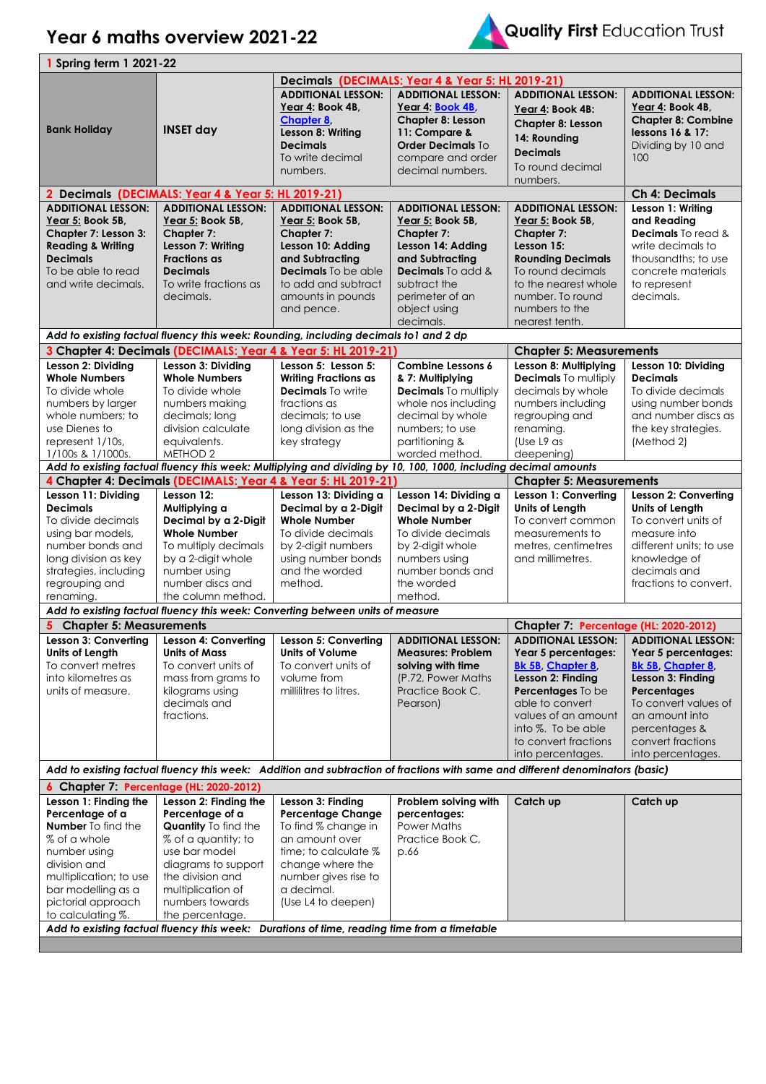$\mathbf{r}$ 



| <b>1 Spring term 1 2021-22</b>          |                                                                                                                               |                             |                                                  |                                       |                           |
|-----------------------------------------|-------------------------------------------------------------------------------------------------------------------------------|-----------------------------|--------------------------------------------------|---------------------------------------|---------------------------|
|                                         |                                                                                                                               |                             | Decimals (DECIMALS: Year 4 & Year 5: HL 2019-21) |                                       |                           |
|                                         |                                                                                                                               | <b>ADDITIONAL LESSON:</b>   | <b>ADDITIONAL LESSON:</b>                        | <b>ADDITIONAL LESSON:</b>             | <b>ADDITIONAL LESSON:</b> |
|                                         |                                                                                                                               | Year 4: Book 4B,            | Year 4: Book 4B.                                 | Year 4: Book 4B:                      | Year 4: Book 4B,          |
|                                         |                                                                                                                               | <b>Chapter 8.</b>           | <b>Chapter 8: Lesson</b>                         | Chapter 8: Lesson                     | <b>Chapter 8: Combine</b> |
| <b>Bank Holiday</b>                     | <b>INSET day</b>                                                                                                              | Lesson 8: Writing           | 11: Compare &                                    |                                       | lessons 16 & 17:          |
|                                         |                                                                                                                               | <b>Decimals</b>             | <b>Order Decimals To</b>                         | 14: Rounding                          | Dividing by 10 and        |
|                                         |                                                                                                                               | To write decimal            | compare and order                                | <b>Decimals</b>                       | 100                       |
|                                         |                                                                                                                               | numbers.                    | decimal numbers.                                 | To round decimal                      |                           |
|                                         |                                                                                                                               |                             |                                                  | numbers.                              |                           |
|                                         | 2 Decimals (DECIMALS: Year 4 & Year 5: HL 2019-21)                                                                            |                             | <b>Ch 4: Decimals</b>                            |                                       |                           |
| <b>ADDITIONAL LESSON:</b>               | <b>ADDITIONAL LESSON:</b>                                                                                                     | <b>ADDITIONAL LESSON:</b>   | <b>ADDITIONAL LESSON:</b>                        | <b>ADDITIONAL LESSON:</b>             | Lesson 1: Writing         |
| Year 5: Book 5B,                        | Year 5: Book 5B,                                                                                                              | Year 5: Book 5B,            | Year 5: Book 5B,                                 | Year 5: Book 5B,                      | and Reading               |
| Chapter 7: Lesson 3:                    | Chapter 7:                                                                                                                    | Chapter 7:                  | <b>Chapter 7:</b>                                | Chapter 7:                            | Decimals To read &        |
| <b>Reading &amp; Writing</b>            | Lesson 7: Writing                                                                                                             | Lesson 10: Adding           | Lesson 14: Adding                                | Lesson 15:                            | write decimals to         |
| <b>Decimals</b>                         | <b>Fractions as</b>                                                                                                           | and Subtracting             | and Subtracting                                  | <b>Rounding Decimals</b>              | thousandths; to use       |
| To be able to read                      | <b>Decimals</b>                                                                                                               | <b>Decimals</b> To be able  | <b>Decimals</b> To add &                         | To round decimals                     | concrete materials        |
| and write decimals.                     | To write fractions as                                                                                                         | to add and subtract         | subtract the                                     | to the nearest whole                  | to represent              |
|                                         | decimals.                                                                                                                     | amounts in pounds           | perimeter of an                                  | number. To round                      | decimals.                 |
|                                         |                                                                                                                               | and pence.                  | object using                                     | numbers to the                        |                           |
|                                         |                                                                                                                               |                             | decimals.                                        | nearest tenth.                        |                           |
|                                         | Add to existing factual fluency this week: Rounding, including decimals to1 and 2 dp                                          |                             |                                                  |                                       |                           |
|                                         | 3 Chapter 4: Decimals (DECIMALS: Year 4 & Year 5: HL 2019-21)                                                                 |                             |                                                  | <b>Chapter 5: Measurements</b>        |                           |
| Lesson 2: Dividing                      | Lesson 3: Dividing                                                                                                            | Lesson 5: Lesson 5:         | Combine Lessons 6                                | Lesson 8: Multiplying                 | Lesson 10: Dividing       |
| <b>Whole Numbers</b>                    | <b>Whole Numbers</b>                                                                                                          | <b>Writing Fractions as</b> | & 7: Multiplying                                 | <b>Decimals</b> To multiply           | <b>Decimals</b>           |
| To divide whole                         | To divide whole                                                                                                               | Decimals To write           | <b>Decimals</b> To multiply                      | decimals by whole                     | To divide decimals        |
| numbers by larger                       | numbers making                                                                                                                | fractions as                | whole nos including                              | numbers including                     | using number bonds        |
| whole numbers: to                       | decimals; long                                                                                                                | decimals; to use            | decimal by whole                                 | regrouping and                        | and number discs as       |
| use Dienes to                           | division calculate                                                                                                            | long division as the        | numbers; to use                                  | renaming.                             | the key strategies.       |
| represent 1/10s,                        | equivalents.                                                                                                                  | key strategy                | partitioning &                                   | (Use L9 as                            | (Method 2)                |
| 1/100s & 1/1000s.                       | METHOD 2                                                                                                                      |                             | worded method.                                   | deepening)                            |                           |
|                                         | Add to existing factual fluency this week: Multiplying and dividing by 10, 100, 1000, including decimal amounts               |                             |                                                  |                                       |                           |
|                                         | 4 Chapter 4: Decimals (DECIMALS: Year 4 & Year 5: HL 2019-21)                                                                 |                             |                                                  | <b>Chapter 5: Measurements</b>        |                           |
| Lesson 11: Dividing                     | Lesson 12:                                                                                                                    | Lesson 13: Dividing a       | Lesson 14: Dividing a                            | Lesson 1: Converting                  | Lesson 2: Converting      |
| <b>Decimals</b>                         | Multiplying a                                                                                                                 | Decimal by a 2-Digit        | Decimal by a 2-Digit                             | Units of Length                       | <b>Units of Length</b>    |
| To divide decimals                      | Decimal by a 2-Digit                                                                                                          | <b>Whole Number</b>         | <b>Whole Number</b>                              | To convert common                     | To convert units of       |
| using bar models,                       | <b>Whole Number</b>                                                                                                           | To divide decimals          | To divide decimals                               | measurements to                       | measure into              |
| number bonds and                        | To multiply decimals                                                                                                          | by 2-digit numbers          | by 2-digit whole                                 | metres, centimetres                   | different units; to use   |
| long division as key                    | by a 2-digit whole                                                                                                            | using number bonds          | numbers using                                    | and millimetres.                      | knowledge of              |
| strategies, including                   | number using                                                                                                                  | and the worded              | number bonds and                                 |                                       | decimals and              |
| regrouping and                          | number discs and                                                                                                              | method.                     | the worded                                       |                                       | fractions to convert.     |
| renaming.                               | the column method.                                                                                                            |                             | method.                                          |                                       |                           |
|                                         | Add to existing factual fluency this week: Converting between units of measure                                                |                             |                                                  |                                       |                           |
| 5 Chapter 5: Measurements               |                                                                                                                               |                             |                                                  | Chapter 7: Percentage (HL: 2020-2012) |                           |
| Lesson 3: Converting                    | Lesson 4: Converting                                                                                                          | Lesson 5: Converting        | <b>ADDITIONAL LESSON:</b>                        | <b>ADDITIONAL LESSON:</b>             | <b>ADDITIONAL LESSON:</b> |
| Units of Length                         | <b>Units of Mass</b>                                                                                                          | <b>Units of Volume</b>      | <b>Measures: Problem</b>                         | Year 5 percentages:                   | Year 5 percentages:       |
| To convert metres                       | To convert units of                                                                                                           | To convert units of         | solving with time                                | <b>Bk 5B, Chapter 8,</b>              | <b>Bk 5B, Chapter 8</b>   |
| into kilometres as                      | mass from grams to                                                                                                            | volume from                 | (P.72, Power Maths)                              | Lesson 2: Finding                     | Lesson 3: Finding         |
| units of measure.                       | kilograms using                                                                                                               | millilitres to litres.      | Practice Book C.                                 | Percentages To be                     | Percentages               |
|                                         | decimals and                                                                                                                  |                             | Pearson)                                         | able to convert                       | To convert values of      |
|                                         | fractions.                                                                                                                    |                             |                                                  | values of an amount                   | an amount into            |
|                                         |                                                                                                                               |                             |                                                  | into %. To be able                    | percentages &             |
|                                         |                                                                                                                               |                             |                                                  | to convert fractions                  | convert fractions         |
|                                         |                                                                                                                               |                             |                                                  | into percentages.                     | into percentages.         |
|                                         | Add to existing factual fluency this week: Addition and subtraction of fractions with same and different denominators (basic) |                             |                                                  |                                       |                           |
| 6 Chapter 7: Percentage (HL: 2020-2012) |                                                                                                                               |                             |                                                  |                                       |                           |
| Lesson 1: Finding the                   | Lesson 2: Finding the                                                                                                         | Lesson 3: Finding           | Problem solving with                             | Catch up                              | Catch up                  |
| Percentage of a                         | Percentage of a                                                                                                               | <b>Percentage Change</b>    | percentages:                                     |                                       |                           |
| <b>Number</b> To find the               | Quantity To find the                                                                                                          | To find % change in         | Power Maths                                      |                                       |                           |
|                                         |                                                                                                                               |                             |                                                  |                                       |                           |
| % of a whole                            | % of a quantity; to                                                                                                           | an amount over              | Practice Book C,                                 |                                       |                           |
| number using                            | use bar model                                                                                                                 | time; to calculate %        | p.66                                             |                                       |                           |
| division and                            | diagrams to support                                                                                                           | change where the            |                                                  |                                       |                           |
| multiplication; to use                  | the division and                                                                                                              | number gives rise to        |                                                  |                                       |                           |
| bar modelling as a                      | multiplication of                                                                                                             | a decimal.                  |                                                  |                                       |                           |
| pictorial approach                      | numbers towards                                                                                                               | (Use L4 to deepen)          |                                                  |                                       |                           |
| to calculating %.                       | the percentage.<br>Add to existing factual fluency this week: Durations of time, reading time from a timetable                |                             |                                                  |                                       |                           |